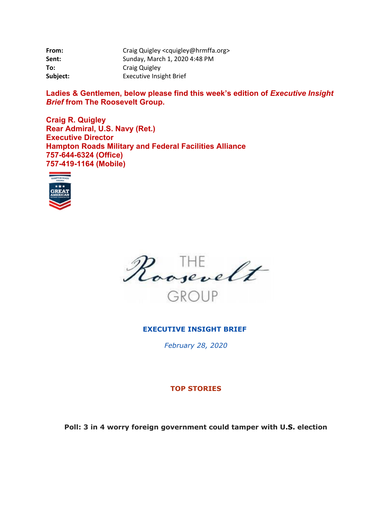| From:    | Craig Quigley <cquigley@hrmffa.org></cquigley@hrmffa.org> |
|----------|-----------------------------------------------------------|
| Sent:    | Sunday, March 1, 2020 4:48 PM                             |
| To:      | Craig Quigley                                             |
| Subject: | <b>Executive Insight Brief</b>                            |

Ladies & Gentlemen, below please find this week's edition of *Executive Insight Brief* **from The Roosevelt Group.** 

**Craig R. Quigley Rear Admiral, U.S. Navy (Ret.) Executive Director Hampton Roads Military and Federal Facilities Alliance 757-644-6324 (Office) 757-419-1164 (Mobile)** 





## **EXECUTIVE INSIGHT BRIEF**

*February 28, 2020* 

#### **TOP STORIES**

**Poll: 3 in 4 worry foreign government could tamper with U.S. election**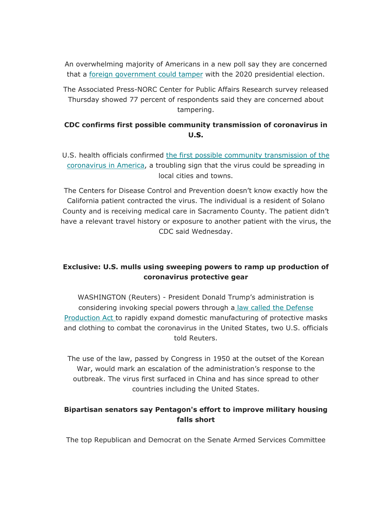An overwhelming majority of Americans in a new poll say they are concerned that a foreign government could tamper with the 2020 presidential election.

The Associated Press-NORC Center for Public Affairs Research survey released Thursday showed 77 percent of respondents said they are concerned about tampering.

## **CDC confirms first possible community transmission of coronavirus in U.S.**

U.S. health officials confirmed the first possible community transmission of the coronavirus in America, a troubling sign that the virus could be spreading in local cities and towns.

The Centers for Disease Control and Prevention doesn't know exactly how the California patient contracted the virus. The individual is a resident of Solano County and is receiving medical care in Sacramento County. The patient didn't have a relevant travel history or exposure to another patient with the virus, the CDC said Wednesday.

# **Exclusive: U.S. mulls using sweeping powers to ramp up production of coronavirus protective gear**

WASHINGTON (Reuters) - President Donald Trump's administration is considering invoking special powers through a law called the Defense Production Act to rapidly expand domestic manufacturing of protective masks and clothing to combat the coronavirus in the United States, two U.S. officials told Reuters.

The use of the law, passed by Congress in 1950 at the outset of the Korean War, would mark an escalation of the administration's response to the outbreak. The virus first surfaced in China and has since spread to other countries including the United States.

# **Bipartisan senators say Pentagon's effort to improve military housing falls short**

The top Republican and Democrat on the Senate Armed Services Committee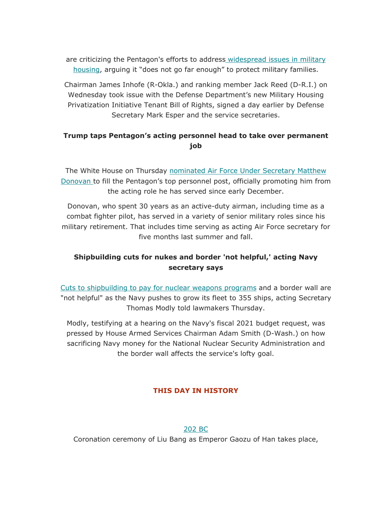are criticizing the Pentagon's efforts to address widespread issues in military housing, arguing it "does not go far enough" to protect military families.

Chairman James Inhofe (R-Okla.) and ranking member Jack Reed (D-R.I.) on Wednesday took issue with the Defense Department's new Military Housing Privatization Initiative Tenant Bill of Rights, signed a day earlier by Defense Secretary Mark Esper and the service secretaries.

# **Trump taps Pentagon's acting personnel head to take over permanent job**

The White House on Thursday nominated Air Force Under Secretary Matthew Donovan to fill the Pentagon's top personnel post, officially promoting him from the acting role he has served since early December.

Donovan, who spent 30 years as an active-duty airman, including time as a combat fighter pilot, has served in a variety of senior military roles since his military retirement. That includes time serving as acting Air Force secretary for five months last summer and fall.

# **Shipbuilding cuts for nukes and border 'not helpful,' acting Navy secretary says**

Cuts to shipbuilding to pay for nuclear weapons programs and a border wall are "not helpful" as the Navy pushes to grow its fleet to 355 ships, acting Secretary Thomas Modly told lawmakers Thursday.

Modly, testifying at a hearing on the Navy's fiscal 2021 budget request, was pressed by House Armed Services Chairman Adam Smith (D-Wash.) on how sacrificing Navy money for the National Nuclear Security Administration and the border wall affects the service's lofty goal.

## **THIS DAY IN HISTORY**

#### 202 BC

Coronation ceremony of Liu Bang as Emperor Gaozu of Han takes place,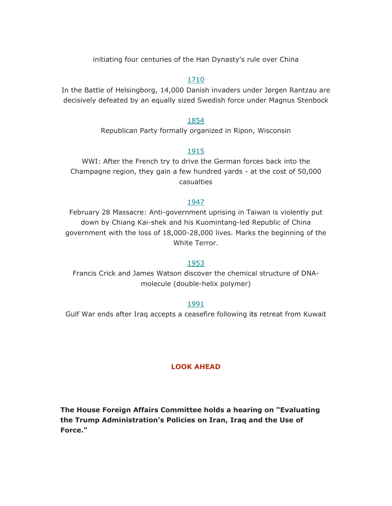initiating four centuries of the Han Dynasty's rule over China

#### 1710

In the Battle of Helsingborg, 14,000 Danish invaders under Jørgen Rantzau are decisively defeated by an equally sized Swedish force under Magnus Stenbock

#### 1854

Republican Party formally organized in Ripon, Wisconsin

#### 1915

WWI: After the French try to drive the German forces back into the Champagne region, they gain a few hundred yards - at the cost of 50,000 casualties

#### 1947

February 28 Massacre: Anti-government uprising in Taiwan is violently put down by Chiang Kai-shek and his Kuomintang-led Republic of China government with the loss of 18,000-28,000 lives. Marks the beginning of the White Terror.

#### 1953

Francis Crick and James Watson discover the chemical structure of DNAmolecule (double-helix polymer)

#### 1991

Gulf War ends after Iraq accepts a ceasefire following its retreat from Kuwait

#### **LOOK AHEAD**

**The House Foreign Affairs Committee holds a hearing on "Evaluating the Trump Administration's Policies on Iran, Iraq and the Use of Force."**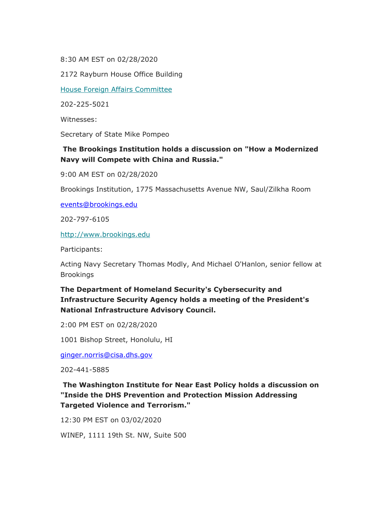8:30 AM EST on 02/28/2020

2172 Rayburn House Office Building

House Foreign Affairs Committee

202-225-5021

Witnesses:

Secretary of State Mike Pompeo

## **The Brookings Institution holds a discussion on "How a Modernized Navy will Compete with China and Russia."**

9:00 AM EST on 02/28/2020

Brookings Institution, 1775 Massachusetts Avenue NW, Saul/Zilkha Room

<u>events@brookings.edu</u><br>202-797-6105

<http://www.brookings.edu>

Participants:

Acting Navy Secretary Thomas Modly, And Michael O'Hanlon, senior fellow at Brookings

# **The Department of Homeland Security's Cybersecurity and Infrastructure Security Agency holds a meeting of the President's National Infrastructure Advisory Council.**

2:00 PM EST on 02/28/2020

1001 Bishop Street, Honolulu, HI

<u>[ginger.norris@cisa.dhs.gov](mailto:ginger.norris@cisa.dhs.gov)</u><br>202-441-5885

**The Washington Institute for Near East Policy holds a discussion on "Inside the DHS Prevention and Protection Mission Addressing Targeted Violence and Terrorism."** 

12:30 PM EST on 03/02/2020

WINEP, 1111 19th St. NW, Suite 500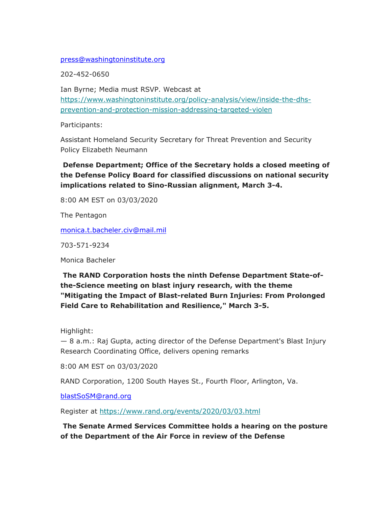# <u>press@washingtoninstitute.org</u><br>202-452-0650

Ian Byrne; Media must RSVP. Webcast at <https://www.washingtoninstitute.org/policy-analysis/view/inside-the-dhs>prevention-and-protection-mission-addressing-targeted-violen

Participants:

Assistant Homeland Security Secretary for Threat Prevention and Security Policy Elizabeth Neumann

**Defense Department; Office of the Secretary holds a closed meeting of the Defense Policy Board for classified discussions on national security implications related to Sino-Russian alignment, March 3-4.** 

8:00 AM EST on 03/03/2020

The Pentagon

<u>[monica.t.bacheler.civ@mail.mil](mailto:monica.t.bacheler.civ@mail.mil)</u><br>703-571-9234

Monica Bacheler

**The RAND Corporation hosts the ninth Defense Department State-ofthe-Science meeting on blast injury research, with the theme "Mitigating the Impact of Blast-related Burn Injuries: From Prolonged Field Care to Rehabilitation and Resilience," March 3-5.** 

Highlight:

— 8 a.m.: Raj Gupta, acting director of the Defense Department's Blast Injury Research Coordinating Office, delivers opening remarks

8:00 AM EST on 03/03/2020

RAND Corporation, 1200 South Hayes St., Fourth Floor, Arlington, Va.

[blastSoSM@rand.org](mailto:blastSoSM@rand.org)

Register at <https://www.rand.org/events/2020/03/03.html>

**The Senate Armed Services Committee holds a hearing on the posture of the Department of the Air Force in review of the Defense**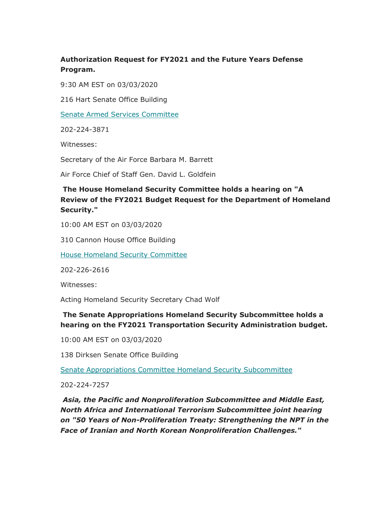# **Authorization Request for FY2021 and the Future Years Defense Program.**

9:30 AM EST on 03/03/2020

216 Hart Senate Office Building

Senate Armed Services Committee

202-224-3871

Witnesses:

Secretary of the Air Force Barbara M. Barrett

Air Force Chief of Staff Gen. David L. Goldfein

# **The House Homeland Security Committee holds a hearing on "A Review of the FY2021 Budget Request for the Department of Homeland Security."**

10:00 AM EST on 03/03/2020

310 Cannon House Office Building

House Homeland Security Committee

202-226-2616

Witnesses:

Acting Homeland Security Secretary Chad Wolf

# **The Senate Appropriations Homeland Security Subcommittee holds a hearing on the FY2021 Transportation Security Administration budget.**

10:00 AM EST on 03/03/2020

138 Dirksen Senate Office Building

Senate Appropriations Committee Homeland Security Subcommittee

202-224-7257

*Asia, the Pacific and Nonproliferation Subcommittee and Middle East, North Africa and International Terrorism Subcommittee joint hearing on "50 Years of Non-Proliferation Treaty: Strengthening the NPT in the Face of Iranian and North Korean Nonproliferation Challenges."*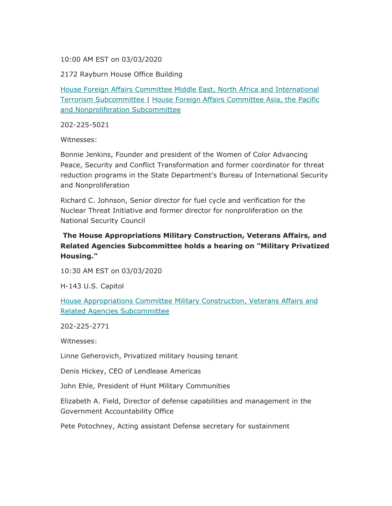#### 10:00 AM EST on 03/03/2020

2172 Rayburn House Office Building

House Foreign Affairs Committee Middle East, North Africa and International Terrorism Subcommittee | House Foreign Affairs Committee Asia, the Pacific and Nonproliferation Subcommittee

202-225-5021

Witnesses:

Bonnie Jenkins, Founder and president of the Women of Color Advancing Peace, Security and Conflict Transformation and former coordinator for threat reduction programs in the State Department's Bureau of International Security and Nonproliferation

Richard C. Johnson, Senior director for fuel cycle and verification for the Nuclear Threat Initiative and former director for nonproliferation on the National Security Council

# **The House Appropriations Military Construction, Veterans Affairs, and Related Agencies Subcommittee holds a hearing on "Military Privatized Housing."**

10:30 AM EST on 03/03/2020

H-143 U.S. Capitol

House Appropriations Committee Military Construction, Veterans Affairs and Related Agencies Subcommittee

202-225-2771

Witnesses:

Linne Geherovich, Privatized military housing tenant

Denis Hickey, CEO of Lendlease Americas

John Ehle, President of Hunt Military Communities

Government Accountability Office Elizabeth A. Field, Director of defense capabilities and management in the

Pete Potochney, Acting assistant Defense secretary for sustainment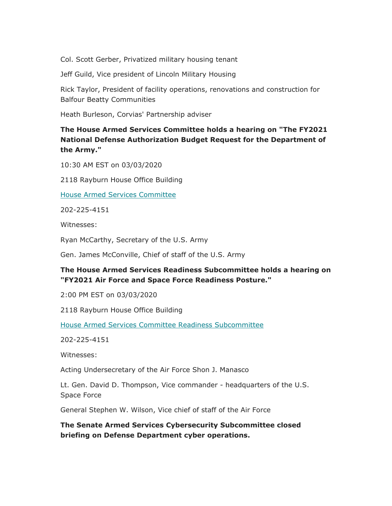Col. Scott Gerber, Privatized military housing tenant

Jeff Guild, Vice president of Lincoln Military Housing

Rick Taylor, President of facility operations, renovations and construction for Balfour Beatty Communities

Heath Burleson, Corvias' Partnership adviser

# **The House Armed Services Committee holds a hearing on "The FY2021 National Defense Authorization Budget Request for the Department of the Army."**

10:30 AM EST on 03/03/2020

2118 Rayburn House Office Building

House Armed Services Committee

202-225-4151

Witnesses:

Ryan McCarthy, Secretary of the U.S. Army

Gen. James McConville, Chief of staff of the U.S. Army

## **The House Armed Services Readiness Subcommittee holds a hearing on "FY2021 Air Force and Space Force Readiness Posture."**

2:00 PM EST on 03/03/2020

2118 Rayburn House Office Building

House Armed Services Committee Readiness Subcommittee

202-225-4151

Witnesses:

Acting Undersecretary of the Air Force Shon J. Manasco

Lt. Gen. David D. Thompson, Vice commander - headquarters of the U.S. Space Force

General Stephen W. Wilson, Vice chief of staff of the Air Force

**The Senate Armed Services Cybersecurity Subcommittee closed briefing on Defense Department cyber operations.**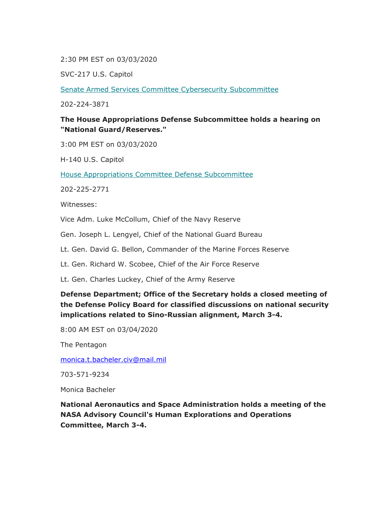2:30 PM EST on 03/03/2020

SVC-217 U.S. Capitol

Senate Armed Services Committee Cybersecurity Subcommittee

202-224-3871

## **The House Appropriations Defense Subcommittee holds a hearing on "National Guard/Reserves."**

3:00 PM EST on 03/03/2020

H-140 U.S. Capitol

House Appropriations Committee Defense Subcommittee

202-225-2771

Witnesses:

Vice Adm. Luke McCollum, Chief of the Navy Reserve

Gen. Joseph L. Lengyel, Chief of the National Guard Bureau

Lt. Gen. David G. Bellon, Commander of the Marine Forces Reserve

Lt. Gen. Richard W. Scobee, Chief of the Air Force Reserve

Lt. Gen. Charles Luckey, Chief of the Army Reserve

# **Defense Department; Office of the Secretary holds a closed meeting of the Defense Policy Board for classified discussions on national security implications related to Sino-Russian alignment, March 3-4.**

8:00 AM EST on 03/04/2020

The Pentagon

<u>[monica.t.bacheler.civ@mail.mil](mailto:monica.t.bacheler.civ@mail.mil)</u><br>703-571-9234

Monica Bacheler

**National Aeronautics and Space Administration holds a meeting of the NASA Advisory Council's Human Explorations and Operations Committee, March 3-4.**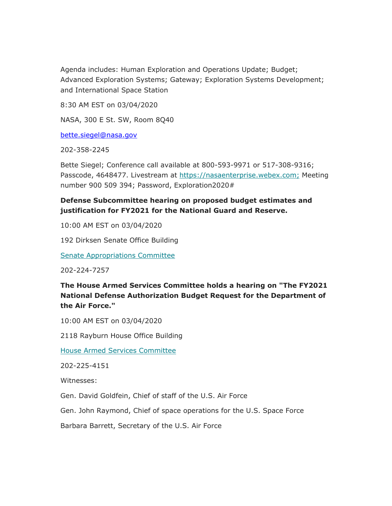Agenda includes: Human Exploration and Operations Update; Budget; Advanced Exploration Systems; Gateway; Exploration Systems Development; and International Space Station

8:30 AM EST on 03/04/2020

NASA, 300 E St. SW, Room 8Q40

<u>[bette.siegel@nasa.gov](mailto:bette.siegel@nasa.gov)</u><br>202-358-2245

Bette Siegel; Conference call available at 800-593-9971 or 517-308-9316; Passcode, 4648477. Livestream at<https://nasaenterprise.webex.com>; Meeting number 900 509 394; Password, Exploration2020#

# **Defense Subcommittee hearing on proposed budget estimates and justification for FY2021 for the National Guard and Reserve.**

10:00 AM EST on 03/04/2020

192 Dirksen Senate Office Building

Senate Appropriations Committee

202-224-7257

**The House Armed Services Committee holds a hearing on "The FY2021 National Defense Authorization Budget Request for the Department of the Air Force."** 

10:00 AM EST on 03/04/2020

2118 Rayburn House Office Building

House Armed Services Committee

202-225-4151

Witnesses:

Gen. David Goldfein, Chief of staff of the U.S. Air Force

Gen. John Raymond, Chief of space operations for the U.S. Space Force

Barbara Barrett, Secretary of the U.S. Air Force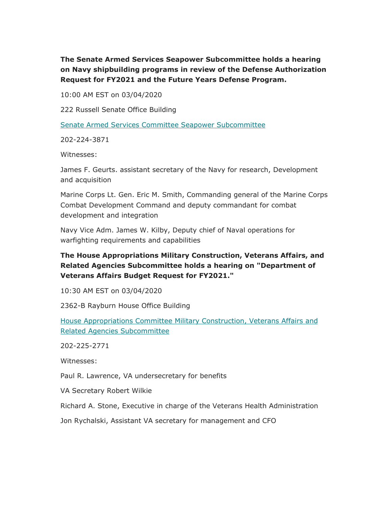**The Senate Armed Services Seapower Subcommittee holds a hearing on Navy shipbuilding programs in review of the Defense Authorization Request for FY2021 and the Future Years Defense Program.** 

10:00 AM EST on 03/04/2020

222 Russell Senate Office Building

Senate Armed Services Committee Seapower Subcommittee

202-224-3871

Witnesses:

James F. Geurts. assistant secretary of the Navy for research, Development and acquisition

Marine Corps Lt. Gen. Eric M. Smith, Commanding general of the Marine Corps Combat Development Command and deputy commandant for combat development and integration

Navy Vice Adm. James W. Kilby, Deputy chief of Naval operations for warfighting requirements and capabilities

# **The House Appropriations Military Construction, Veterans Affairs, and Related Agencies Subcommittee holds a hearing on "Department of Veterans Affairs Budget Request for FY2021."**

10:30 AM EST on 03/04/2020

2362-B Rayburn House Office Building

House Appropriations Committee Military Construction, Veterans Affairs and Related Agencies Subcommittee

202-225-2771

Witnesses:

Paul R. Lawrence, VA undersecretary for benefits

VA Secretary Robert Wilkie

Richard A. Stone, Executive in charge of the Veterans Health Administration

Jon Rychalski, Assistant VA secretary for management and CFO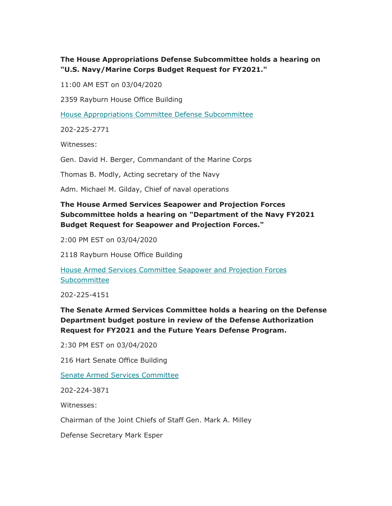## **The House Appropriations Defense Subcommittee holds a hearing on "U.S. Navy/Marine Corps Budget Request for FY2021."**

11:00 AM EST on 03/04/2020

2359 Rayburn House Office Building

House Appropriations Committee Defense Subcommittee

202-225-2771

Witnesses:

Gen. David H. Berger, Commandant of the Marine Corps

Thomas B. Modly, Acting secretary of the Navy

Adm. Michael M. Gilday, Chief of naval operations

# **The House Armed Services Seapower and Projection Forces Subcommittee holds a hearing on "Department of the Navy FY2021 Budget Request for Seapower and Projection Forces."**

2:00 PM EST on 03/04/2020

2118 Rayburn House Office Building

House Armed Services Committee Seapower and Projection Forces Subcommittee

202-225-4151

**The Senate Armed Services Committee holds a hearing on the Defense Department budget posture in review of the Defense Authorization Request for FY2021 and the Future Years Defense Program.** 

2:30 PM EST on 03/04/2020

216 Hart Senate Office Building

Senate Armed Services Committee

202-224-3871

Witnesses:

Chairman of the Joint Chiefs of Staff Gen. Mark A. Milley

Defense Secretary Mark Esper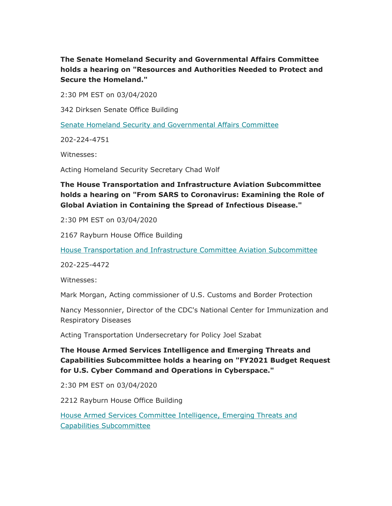**The Senate Homeland Security and Governmental Affairs Committee holds a hearing on "Resources and Authorities Needed to Protect and Secure the Homeland."** 

2:30 PM EST on 03/04/2020

342 Dirksen Senate Office Building

Senate Homeland Security and Governmental Affairs Committee

202-224-4751

Witnesses:

Acting Homeland Security Secretary Chad Wolf

# **The House Transportation and Infrastructure Aviation Subcommittee holds a hearing on "From SARS to Coronavirus: Examining the Role of Global Aviation in Containing the Spread of Infectious Disease."**

2:30 PM EST on 03/04/2020

2167 Rayburn House Office Building

House Transportation and Infrastructure Committee Aviation Subcommittee

202-225-4472

Witnesses:

Mark Morgan, Acting commissioner of U.S. Customs and Border Protection

Nancy Messonnier, Director of the CDC's National Center for Immunization and Respiratory Diseases

Acting Transportation Undersecretary for Policy Joel Szabat

**The House Armed Services Intelligence and Emerging Threats and Capabilities Subcommittee holds a hearing on "FY2021 Budget Request for U.S. Cyber Command and Operations in Cyberspace."** 

2:30 PM EST on 03/04/2020

2212 Rayburn House Office Building

House Armed Services Committee Intelligence, Emerging Threats and Capabilities Subcommittee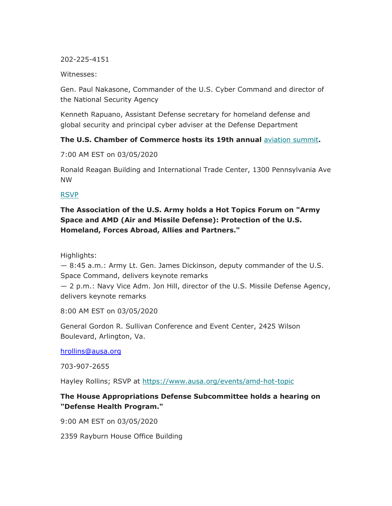202-225-4151

Witnesses:

Gen. Paul Nakasone, Commander of the U.S. Cyber Command and director of the National Security Agency

Kenneth Rapuano, Assistant Defense secretary for homeland defense and global security and principal cyber adviser at the Defense Department

## **The U.S. Chamber of Commerce hosts its 19th annual** aviation summit**.**

7:00 AM EST on 03/05/2020

Ronald Reagan Building and International Trade Center, 1300 Pennsylvania Ave NW

## RSVP

# **The Association of the U.S. Army holds a Hot Topics Forum on "Army Space and AMD (Air and Missile Defense): Protection of the U.S. Homeland, Forces Abroad, Allies and Partners."**

Highlights:

— 8:45 a.m.: Army Lt. Gen. James Dickinson, deputy commander of the U.S. Space Command, delivers keynote remarks

— 2 p.m.: Navy Vice Adm. Jon Hill, director of the U.S. Missile Defense Agency, delivers keynote remarks

8:00 AM EST on 03/05/2020

General Gordon R. Sullivan Conference and Event Center, 2425 Wilson Boulevard, Arlington, Va.

<u>[hrollins@ausa.org](mailto:hrollins@ausa.org)</u><br>703-907-2655

Hayley Rollins; RSVP at <https://www.ausa.org/events/amd-hot-topic>

## **The House Appropriations Defense Subcommittee holds a hearing on "Defense Health Program."**

9:00 AM EST on 03/05/2020

2359 Rayburn House Office Building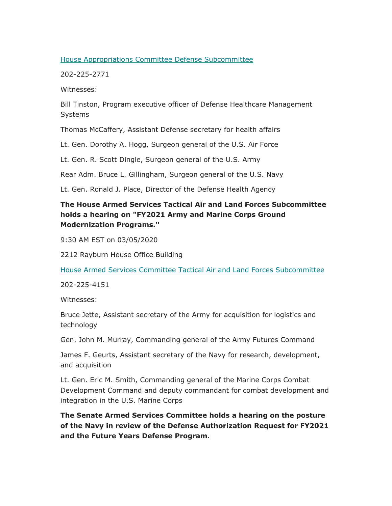#### House Appropriations Committee Defense Subcommittee

202-225-2771

Witnesses:

Bill Tinston, Program executive officer of Defense Healthcare Management Systems

Thomas McCaffery, Assistant Defense secretary for health affairs

Lt. Gen. Dorothy A. Hogg, Surgeon general of the U.S. Air Force

Lt. Gen. R. Scott Dingle, Surgeon general of the U.S. Army

Rear Adm. Bruce L. Gillingham, Surgeon general of the U.S. Navy

Lt. Gen. Ronald J. Place, Director of the Defense Health Agency

# **The House Armed Services Tactical Air and Land Forces Subcommittee holds a hearing on "FY2021 Army and Marine Corps Ground Modernization Programs."**

9:30 AM EST on 03/05/2020

2212 Rayburn House Office Building

House Armed Services Committee Tactical Air and Land Forces Subcommittee

202-225-4151

Witnesses:

Bruce Jette, Assistant secretary of the Army for acquisition for logistics and technology

Gen. John M. Murray, Commanding general of the Army Futures Command

James F. Geurts, Assistant secretary of the Navy for research, development, and acquisition

Lt. Gen. Eric M. Smith, Commanding general of the Marine Corps Combat Development Command and deputy commandant for combat development and integration in the U.S. Marine Corps

**The Senate Armed Services Committee holds a hearing on the posture of the Navy in review of the Defense Authorization Request for FY2021 and the Future Years Defense Program.**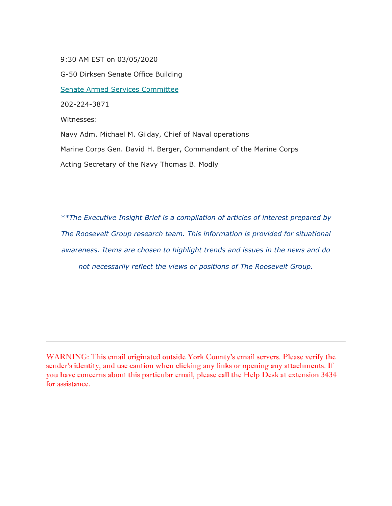9:30 AM EST on 03/05/2020

G-50 Dirksen Senate Office Building Senate Armed Services Committee 202-224-3871 Witnesses: Navy Adm. Michael M. Gilday, Chief of Naval operations Marine Corps Gen. David H. Berger, Commandant of the Marine Corps Acting Secretary of the Navy Thomas B. Modly

*\*\*The Executive Insight Brief is a compilation of articles of interest prepared by The Roosevelt Group research team. This information is provided for situational awareness. Items are chosen to highlight trends and issues in the news and do not necessarily reflect the views or positions of The Roosevelt Group.* 

WARNING: This email originated outside York County's email servers. Please verify the sender's identity, and use caution when clicking any links or opening any attachments. If you have concerns about this particular email, please call the Help Desk at extension 3434 for assistance.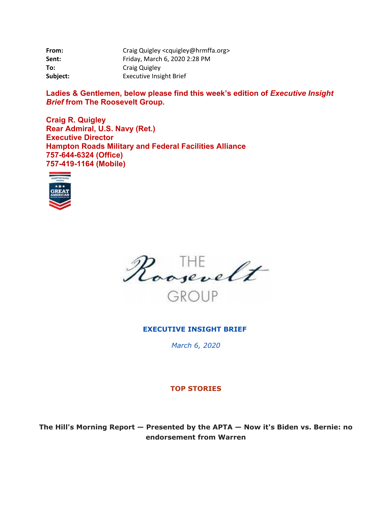| From:    | Craig Quigley <cquigley@hrmffa.org></cquigley@hrmffa.org> |
|----------|-----------------------------------------------------------|
| Sent:    | Friday, March 6, 2020 2:28 PM                             |
| To:      | Craig Quigley                                             |
| Subject: | <b>Executive Insight Brief</b>                            |

Ladies & Gentlemen, below please find this week's edition of *Executive Insight Brief* **from The Roosevelt Group.** 

**Craig R. Quigley Rear Admiral, U.S. Navy (Ret.) Executive Director Hampton Roads Military and Federal Facilities Alliance 757-644-6324 (Office) 757-419-1164 (Mobile)** 





#### **EXECUTIVE INSIGHT BRIEF**

*March 6, 2020* 

#### **TOP STORIES**

**The Hill's Morning Report — Presented by the APTA — Now it's Biden vs. Bernie: no endorsement from Warren**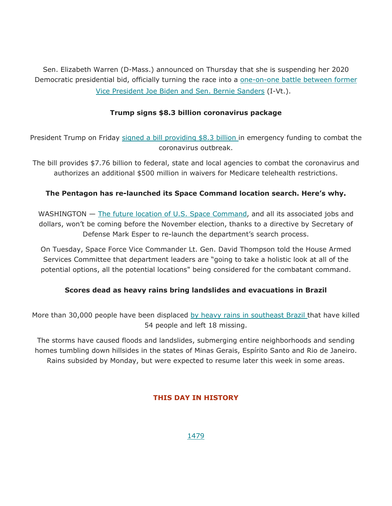Vice President Joe Biden and Sen. Bernie Sanders (I-Vt.). Sen. Elizabeth Warren (D-Mass.) announced on Thursday that she is suspending her 2020 Democratic presidential bid, officially turning the race into a <u>one-on-one battle between former</u>

## **Trump signs \$8.3 billion coronavirus package**

President Trump on Friday signed a bill providing \$8.3 billion in emergency funding to combat the coronavirus outbreak.

The bill provides \$7.76 billion to federal, state and local agencies to combat the coronavirus and authorizes an additional \$500 million in waivers for Medicare telehealth restrictions.

## **The Pentagon has re-launched its Space Command location search. Here's why.**

WASHINGTON - The future location of U.S. Space Command, and all its associated jobs and dollars, won't be coming before the November election, thanks to a directive by Secretary of Defense Mark Esper to re-launch the department's search process.

On Tuesday, Space Force Vice Commander Lt. Gen. David Thompson told the House Armed Services Committee that department leaders are "going to take a holistic look at all of the potential options, all the potential locations" being considered for the combatant command.

## **Scores dead as heavy rains bring landslides and evacuations in Brazil**

More than 30,000 people have been displaced by heavy rains in southeast Brazil that have killed 54 people and left 18 missing.

The storms have caused floods and landslides, submerging entire neighborhoods and sending homes tumbling down hillsides in the states of Minas Gerais, Espírito Santo and Rio de Janeiro. Rains subsided by Monday, but were expected to resume later this week in some areas.

## **THIS DAY IN HISTORY**

1479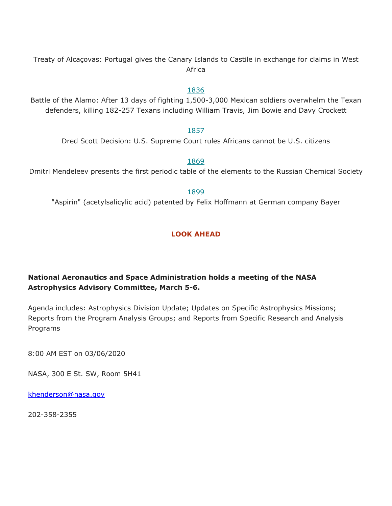Treaty of Alcaçovas: Portugal gives the Canary Islands to Castile in exchange for claims in West Africa

#### 1836

Battle of the Alamo: After 13 days of fighting 1,500-3,000 Mexican soldiers overwhelm the Texan defenders, killing 182-257 Texans including William Travis, Jim Bowie and Davy Crockett

#### 1857

Dred Scott Decision: U.S. Supreme Court rules Africans cannot be U.S. citizens

#### 1869

Dmitri Mendeleev presents the first periodic table of the elements to the Russian Chemical Society

#### 1899

"Aspirin" (acetylsalicylic acid) patented by Felix Hoffmann at German company Bayer

## **LOOK AHEAD**

## **National Aeronautics and Space Administration holds a meeting of the NASA Astrophysics Advisory Committee, March 5-6.**

Agenda includes: Astrophysics Division Update; Updates on Specific Astrophysics Missions; Reports from the Program Analysis Groups; and Reports from Specific Research and Analysis Programs

8:00 AM EST on 03/06/2020

NASA, 300 E St. SW, Room 5H41

<u>khenderson@nasa.gov</u><br>202-358-2355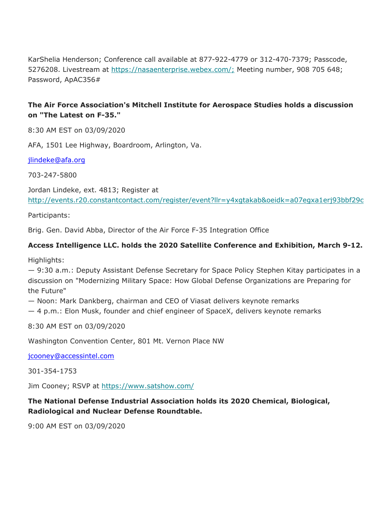KarShelia Henderson; Conference call available at 877-922-4779 or 312-470-7379; Passcode, 5276208. Livestream at [https://nasaenterprise.webex.com/](https://nasaenterprise.webex.com); Meeting number, 908 705 648; Password, ApAC356#

# **The Air Force Association's Mitchell Institute for Aerospace Studies holds a discussion on "The Latest on F-35."**

8:30 AM EST on 03/09/2020

AFA, 1501 Lee Highway, Boardroom, Arlington, Va.

<u>[jlindeke@afa.org](mailto:jlindeke@afa.org)</u><br>703-247-5800

Jordan Lindeke, ext. 4813; Register at <http://events.r20.constantcontact.com/register/event?llr=y4xgtakab&oeidk=a07egxa1erj93bbf29c>

Participants:

Brig. Gen. David Abba, Director of the Air Force F-35 Integration Office

## **Access Intelligence LLC. holds the 2020 Satellite Conference and Exhibition, March 9-12.**

Highlights:

— 9:30 a.m.: Deputy Assistant Defense Secretary for Space Policy Stephen Kitay participates in a discussion on "Modernizing Military Space: How Global Defense Organizations are Preparing for the Future"

— Noon: Mark Dankberg, chairman and CEO of Viasat delivers keynote remarks

— 4 p.m.: Elon Musk, founder and chief engineer of SpaceX, delivers keynote remarks

8:30 AM EST on 03/09/2020

Washington Convention Center, 801 Mt. Vernon Place NW

<u>[jcooney@accessintel.com](mailto:jcooney@accessintel.com)</u><br>301-354-1753

Jim Cooney; RSVP at <https://www.satshow.com>/

# **The National Defense Industrial Association holds its 2020 Chemical, Biological, Radiological and Nuclear Defense Roundtable.**

9:00 AM EST on 03/09/2020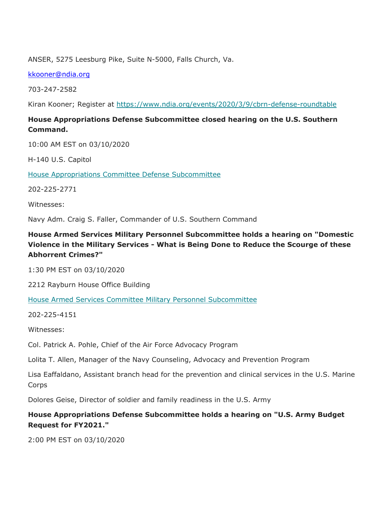ANSER, 5275 Leesburg Pike, Suite N-5000, Falls Church, Va.

<u>[kkooner@ndia.org](mailto:kkooner@ndia.org)</u><br>703-247-2582

Kiran Kooner; Register at<https://www.ndia.org/events/2020/3/9/cbrn-defense-roundtable>

# **House Appropriations Defense Subcommittee closed hearing on the U.S. Southern Command.**

10:00 AM EST on 03/10/2020

H-140 U.S. Capitol

House Appropriations Committee Defense Subcommittee

202-225-2771

Witnesses:

Navy Adm. Craig S. Faller, Commander of U.S. Southern Command

# **House Armed Services Military Personnel Subcommittee holds a hearing on "Domestic Violence in the Military Services - What is Being Done to Reduce the Scourge of these Abhorrent Crimes?"**

1:30 PM EST on 03/10/2020

2212 Rayburn House Office Building

House Armed Services Committee Military Personnel Subcommittee

202-225-4151

Witnesses:

Col. Patrick A. Pohle, Chief of the Air Force Advocacy Program

Lolita T. Allen, Manager of the Navy Counseling, Advocacy and Prevention Program

Lisa Eaffaldano, Assistant branch head for the prevention and clinical services in the U.S. Marine Corps

Dolores Geise, Director of soldier and family readiness in the U.S. Army

**House Appropriations Defense Subcommittee holds a hearing on "U.S. Army Budget Request for FY2021."** 

2:00 PM EST on 03/10/2020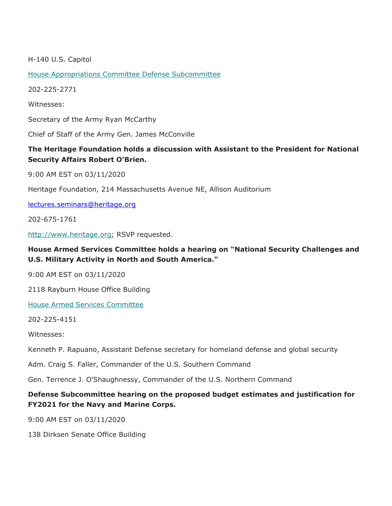H-140 U.S. Capitol

House Appropriations Committee Defense Subcommittee

202-225-2771

Witnesses:

Secretary of the Army Ryan McCarthy

Chief of Staff of the Army Gen. James McConville

## **The Heritage Foundation holds a discussion with Assistant to the President for National Security Affairs Robert O'Brien.**

9:00 AM EST on 03/11/2020

Heritage Foundation, 214 Massachusetts Avenue NE, Allison Auditorium

[lectures.seminars@heritage.org](mailto:lectures.seminars@heritage.org)

202-675-1761

[http://www.heritage.org;](http://www.heritage.org) RSVP requested.

## **House Armed Services Committee holds a hearing on "National Security Challenges and U.S. Military Activity in North and South America."**

9:00 AM EST on 03/11/2020

2118 Rayburn House Office Building

House Armed Services Committee

202-225-4151

Witnesses:

Kenneth P. Rapuano, Assistant Defense secretary for homeland defense and global security

Adm. Craig S. Faller, Commander of the U.S. Southern Command

Gen. Terrence J. O'Shaughnessy, Commander of the U.S. Northern Command

## **Defense Subcommittee hearing on the proposed budget estimates and justification for FY2021 for the Navy and Marine Corps.**

9:00 AM EST on 03/11/2020

138 Dirksen Senate Office Building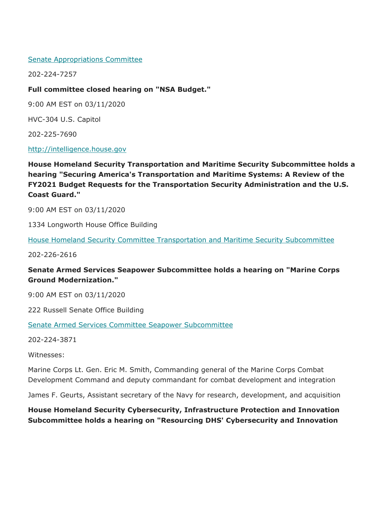#### Senate Appropriations Committee

202-224-7257

#### **Full committee closed hearing on "NSA Budget."**

9:00 AM EST on 03/11/2020

HVC-304 U.S. Capitol

202-225-7690

<http://intelligence.house.gov>

**House Homeland Security Transportation and Maritime Security Subcommittee holds a hearing "Securing America's Transportation and Maritime Systems: A Review of the FY2021 Budget Requests for the Transportation Security Administration and the U.S. Coast Guard."** 

9:00 AM EST on 03/11/2020

1334 Longworth House Office Building

House Homeland Security Committee Transportation and Maritime Security Subcommittee

202-226-2616

## **Senate Armed Services Seapower Subcommittee holds a hearing on "Marine Corps Ground Modernization."**

9:00 AM EST on 03/11/2020

222 Russell Senate Office Building

Senate Armed Services Committee Seapower Subcommittee

202-224-3871

Witnesses:

Marine Corps Lt. Gen. Eric M. Smith, Commanding general of the Marine Corps Combat Development Command and deputy commandant for combat development and integration

James F. Geurts, Assistant secretary of the Navy for research, development, and acquisition

**House Homeland Security Cybersecurity, Infrastructure Protection and Innovation Subcommittee holds a hearing on "Resourcing DHS' Cybersecurity and Innovation**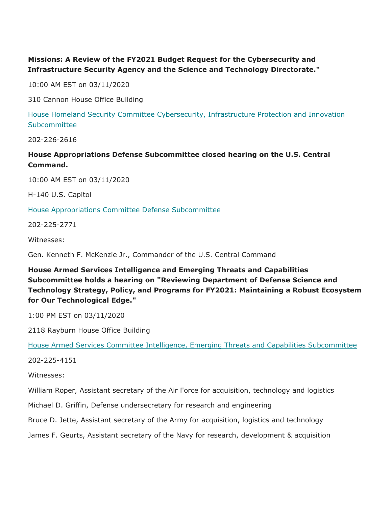# **Missions: A Review of the FY2021 Budget Request for the Cybersecurity and Infrastructure Security Agency and the Science and Technology Directorate."**

10:00 AM EST on 03/11/2020

310 Cannon House Office Building

House Homeland Security Committee Cybersecurity, Infrastructure Protection and Innovation Subcommittee

202-226-2616

**House Appropriations Defense Subcommittee closed hearing on the U.S. Central Command.** 

10:00 AM EST on 03/11/2020

H-140 U.S. Capitol

House Appropriations Committee Defense Subcommittee

202-225-2771

Witnesses:

Gen. Kenneth F. McKenzie Jr., Commander of the U.S. Central Command

**House Armed Services Intelligence and Emerging Threats and Capabilities Subcommittee holds a hearing on "Reviewing Department of Defense Science and Technology Strategy, Policy, and Programs for FY2021: Maintaining a Robust Ecosystem for Our Technological Edge."** 

1:00 PM EST on 03/11/2020

2118 Rayburn House Office Building

House Armed Services Committee Intelligence, Emerging Threats and Capabilities Subcommittee

202-225-4151

Witnesses:

William Roper, Assistant secretary of the Air Force for acquisition, technology and logistics

Michael D. Griffin, Defense undersecretary for research and engineering

Bruce D. Jette, Assistant secretary of the Army for acquisition, logistics and technology

James F. Geurts, Assistant secretary of the Navy for research, development & acquisition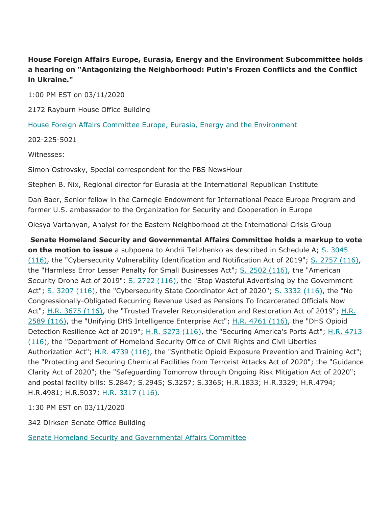# **House Foreign Affairs Europe, Eurasia, Energy and the Environment Subcommittee holds a hearing on "Antagonizing the Neighborhood: Putin's Frozen Conflicts and the Conflict in Ukraine."**

1:00 PM EST on 03/11/2020

2172 Rayburn House Office Building

House Foreign Affairs Committee Europe, Eurasia, Energy and the Environment

202-225-5021

Witnesses:

Simon Ostrovsky, Special correspondent for the PBS NewsHour

Stephen B. Nix, Regional director for Eurasia at the International Republican Institute

Dan Baer, Senior fellow in the Carnegie Endowment for International Peace Europe Program and former U.S. ambassador to the Organization for Security and Cooperation in Europe

Olesya Vartanyan, Analyst for the Eastern Neighborhood at the International Crisis Group

**Senate Homeland Security and Governmental Affairs Committee holds a markup to vote on the motion to issue** a subpoena to Andrii Telizhenko as described in Schedule A; S. 3045 (116), the "Cybersecurity Vulnerability Identification and Notification Act of 2019"; S. 2757 (116), the "Harmless Error Lesser Penalty for Small Businesses Act"; S. 2502 (116), the "American Security Drone Act of 2019"; S. 2722 (116), the "Stop Wasteful Advertising by the Government Act"; S. 3207 (116), the "Cybersecurity State Coordinator Act of 2020"; S. 3332 (116), the "No Congressionally-Obligated Recurring Revenue Used as Pensions To Incarcerated Officials Now Act"; H.R. 3675 (116), the "Trusted Traveler Reconsideration and Restoration Act of 2019"; H.R. 2589 (116), the "Unifying DHS Intelligence Enterprise Act"; H.R. 4761 (116), the "DHS Opioid Detection Resilience Act of 2019"; H.R. 5273 (116), the "Securing America's Ports Act"; H.R. 4713 (116), the "Department of Homeland Security Office of Civil Rights and Civil Liberties Authorization Act"; H.R. 4739 (116), the "Synthetic Opioid Exposure Prevention and Training Act"; the "Protecting and Securing Chemical Facilities from Terrorist Attacks Act of 2020"; the "Guidance Clarity Act of 2020"; the "Safeguarding Tomorrow through Ongoing Risk Mitigation Act of 2020"; and postal facility bills: S.2847; S.2945; S.3257; S.3365; H.R.1833; H.R.3329; H.R.4794; H.R.4981; H.R.5037; H.R. 3317 (116).

1:30 PM EST on 03/11/2020

342 Dirksen Senate Office Building

Senate Homeland Security and Governmental Affairs Committee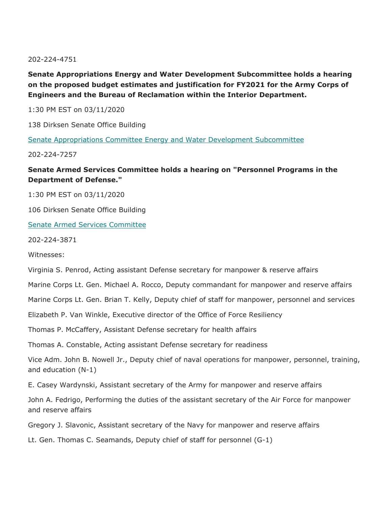202-224-4751

# **Senate Appropriations Energy and Water Development Subcommittee holds a hearing on the proposed budget estimates and justification for FY2021 for the Army Corps of Engineers and the Bureau of Reclamation within the Interior Department.**

1:30 PM EST on 03/11/2020

138 Dirksen Senate Office Building

Senate Appropriations Committee Energy and Water Development Subcommittee

202-224-7257

**Senate Armed Services Committee holds a hearing on "Personnel Programs in the Department of Defense."** 

1:30 PM EST on 03/11/2020

106 Dirksen Senate Office Building

#### Senate Armed Services Committee

202-224-3871

Witnesses:

Virginia S. Penrod, Acting assistant Defense secretary for manpower & reserve affairs

Marine Corps Lt. Gen. Michael A. Rocco, Deputy commandant for manpower and reserve affairs

Marine Corps Lt. Gen. Brian T. Kelly, Deputy chief of staff for manpower, personnel and services

Elizabeth P. Van Winkle, Executive director of the Office of Force Resiliency

Thomas P. McCaffery, Assistant Defense secretary for health affairs

Thomas A. Constable, Acting assistant Defense secretary for readiness

Vice Adm. John B. Nowell Jr., Deputy chief of naval operations for manpower, personnel, training, and education (N-1)

E. Casey Wardynski, Assistant secretary of the Army for manpower and reserve affairs

John A. Fedrigo, Performing the duties of the assistant secretary of the Air Force for manpower and reserve affairs

Gregory J. Slavonic, Assistant secretary of the Navy for manpower and reserve affairs

Lt. Gen. Thomas C. Seamands, Deputy chief of staff for personnel (G-1)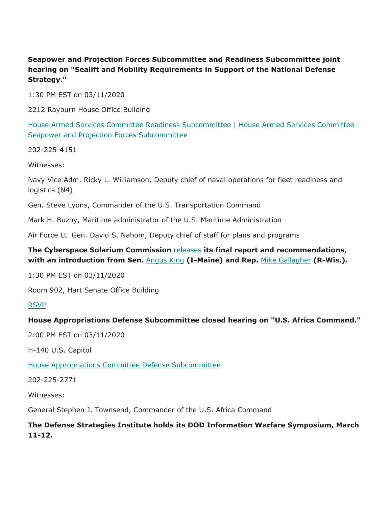# **Seapower and Projection Forces Subcommittee and Readiness Subcommittee joint hearing on "Sealift and Mobility Requirements in Support of the National Defense Strategy."**

1:30 PM EST on 03/11/2020

2212 Rayburn House Office Building

House Armed Services Committee Readiness Subcommittee | House Armed Services Committee Seapower and Projection Forces Subcommittee

202-225-4151

Witnesses:

Navy Vice Adm. Ricky L. Williamson, Deputy chief of naval operations for fleet readiness and logistics (N4)

Gen. Steve Lyons, Commander of the U.S. Transportation Command

Mark H. Buzby, Maritime administrator of the U.S. Maritime Administration

Air Force Lt. Gen. David S. Nahom, Deputy chief of staff for plans and programs

## **The Cyberspace Solarium Commission** releases **its final report and recommendations, with an introduction from Sen.** Angus King **(I-Maine) and Rep.** Mike Gallagher **(R-Wis.).**

1:30 PM EST on 03/11/2020

Room 902, Hart Senate Office Building

#### RSVP

#### **House Appropriations Defense Subcommittee closed hearing on "U.S. Africa Command."**

2:00 PM EST on 03/11/2020

H-140 U.S. Capitol

House Appropriations Committee Defense Subcommittee

202-225-2771

Witnesses:

General Stephen J. Townsend, Commander of the U.S. Africa Command

# **The Defense Strategies Institute holds its DOD Information Warfare Symposium, March 11-12.**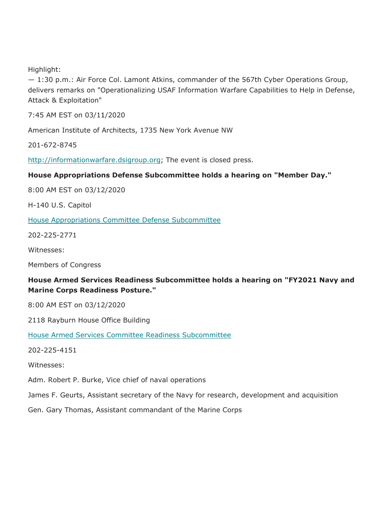Highlight:

— 1:30 p.m.: Air Force Col. Lamont Atkins, commander of the 567th Cyber Operations Group, delivers remarks on "Operationalizing USAF Information Warfare Capabilities to Help in Defense, Attack & Exploitation"

7:45 AM EST on 03/11/2020

American Institute of Architects, 1735 New York Avenue NW

201-672-8745

[http://informationwarfare.dsigroup.org;](http://informationwarfare.dsigroup.org) The event is closed press.

## **House Appropriations Defense Subcommittee holds a hearing on "Member Day."**

8:00 AM EST on 03/12/2020

H-140 U.S. Capitol

House Appropriations Committee Defense Subcommittee

202-225-2771

Witnesses:

Members of Congress

# **House Armed Services Readiness Subcommittee holds a hearing on "FY2021 Navy and Marine Corps Readiness Posture."**

8:00 AM EST on 03/12/2020

2118 Rayburn House Office Building

House Armed Services Committee Readiness Subcommittee

202-225-4151

Witnesses:

Adm. Robert P. Burke, Vice chief of naval operations

James F. Geurts, Assistant secretary of the Navy for research, development and acquisition

Gen. Gary Thomas, Assistant commandant of the Marine Corps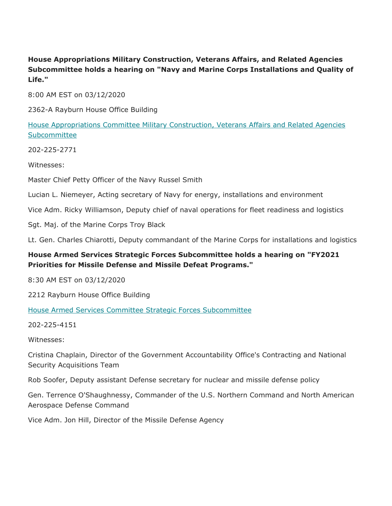# **House Appropriations Military Construction, Veterans Affairs, and Related Agencies Subcommittee holds a hearing on "Navy and Marine Corps Installations and Quality of Life."**

8:00 AM EST on 03/12/2020

2362-A Rayburn House Office Building

House Appropriations Committee Military Construction, Veterans Affairs and Related Agencies Subcommittee

202-225-2771

Witnesses:

Master Chief Petty Officer of the Navy Russel Smith

Lucian L. Niemeyer, Acting secretary of Navy for energy, installations and environment

Vice Adm. Ricky Williamson, Deputy chief of naval operations for fleet readiness and logistics

Sgt. Maj. of the Marine Corps Troy Black

Lt. Gen. Charles Chiarotti, Deputy commandant of the Marine Corps for installations and logistics

# **House Armed Services Strategic Forces Subcommittee holds a hearing on "FY2021 Priorities for Missile Defense and Missile Defeat Programs."**

8:30 AM EST on 03/12/2020

2212 Rayburn House Office Building

House Armed Services Committee Strategic Forces Subcommittee

202-225-4151

Witnesses:

Cristina Chaplain, Director of the Government Accountability Office's Contracting and National Security Acquisitions Team

Rob Soofer, Deputy assistant Defense secretary for nuclear and missile defense policy

Gen. Terrence O'Shaughnessy, Commander of the U.S. Northern Command and North American Aerospace Defense Command

Vice Adm. Jon Hill, Director of the Missile Defense Agency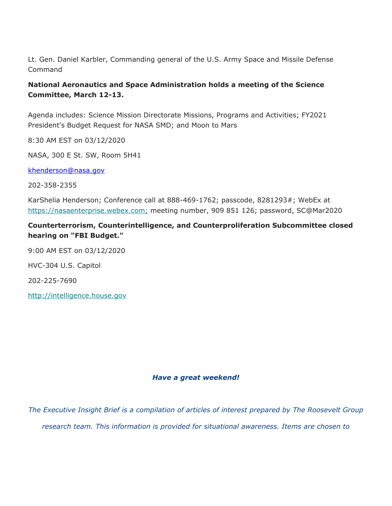Lt. Gen. Daniel Karbler, Commanding general of the U.S. Army Space and Missile Defense Command

# **National Aeronautics and Space Administration holds a meeting of the Science Committee, March 12-13.**

Agenda includes: Science Mission Directorate Missions, Programs and Activities; FY2021 President's Budget Request for NASA SMD; and Moon to Mars

8:30 AM EST on 03/12/2020

NASA, 300 E St. SW, Room 5H41

<u>khenderson@nasa.gov</u><br>202-358-2355

KarShelia Henderson; Conference call at 888-469-1762; passcode, 8281293#; WebEx at [https://nasaenterprise.webex.com;](https://nasaenterprise.webex.com) meeting number, 909 851 126; password, SC@Mar2020

## **Counterterrorism, Counterintelligence, and Counterproliferation Subcommittee closed hearing on "FBI Budget."**

9:00 AM EST on 03/12/2020

HVC-304 U.S. Capitol

202-225-7690

<http://intelligence.house.gov>

#### *Have a great weekend!*

*The Executive Insight Brief is a compilation of articles of interest prepared by The Roosevelt Group research team. This information is provided for situational awareness. Items are chosen to*